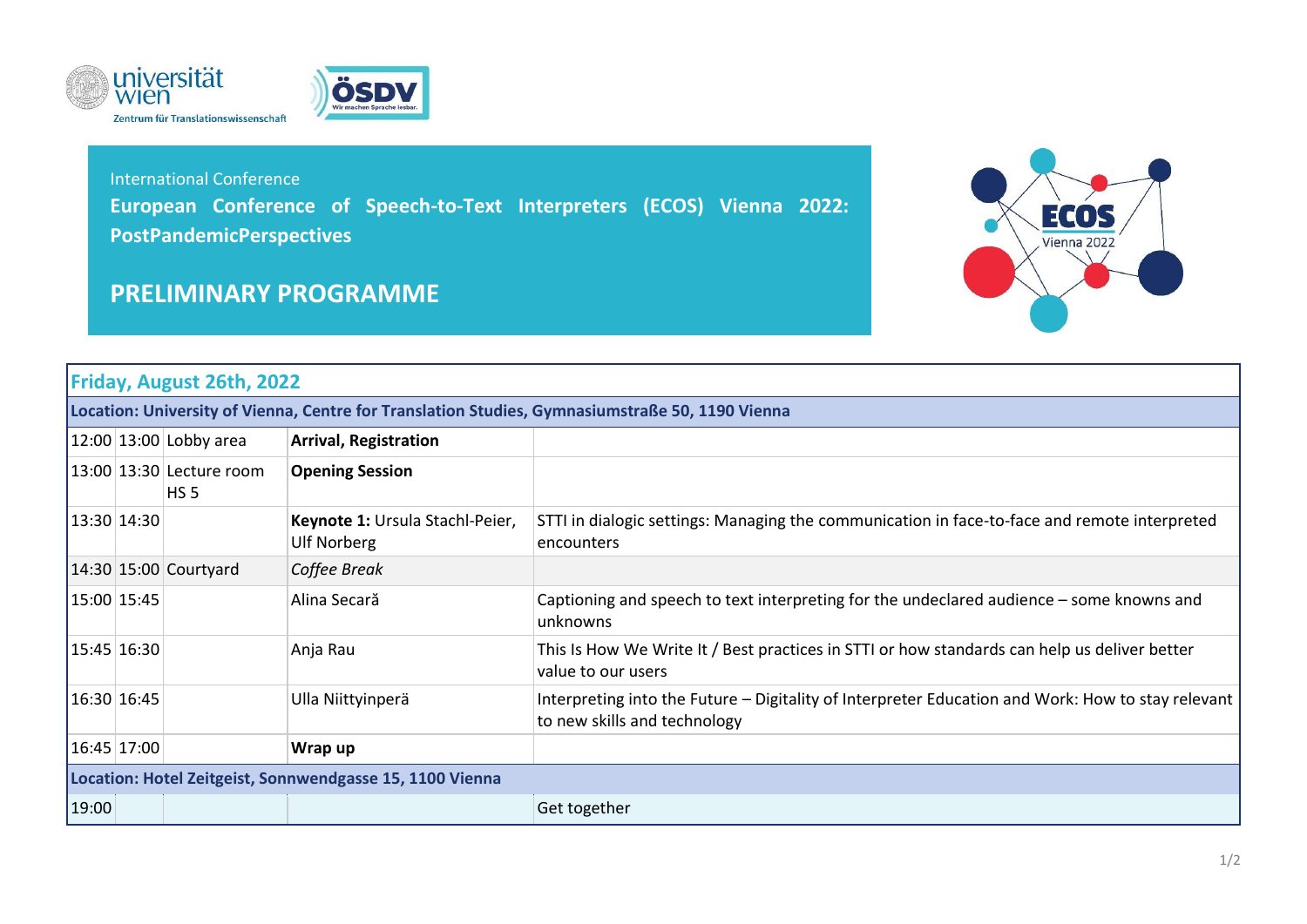



## International Conference **European Conference of Speech-to-Text Interpreters (ECOS) Vienna 2022: PostPandemicPerspectives**

## **PRELIMINARY PROGRAMME**



## **Friday, August 26th, 2022**

**Location: University of Vienna, Centre for Translation Studies, Gymnasiumstraße 50, 1190 Vienna**

|                                                          |  | $ 12:00 13:00 $ Lobby area                  | <b>Arrival, Registration</b>                          |                                                                                                                                   |  |
|----------------------------------------------------------|--|---------------------------------------------|-------------------------------------------------------|-----------------------------------------------------------------------------------------------------------------------------------|--|
|                                                          |  | 13:00 13:30 Lecture room<br>HS <sub>5</sub> | <b>Opening Session</b>                                |                                                                                                                                   |  |
| 13:30 14:30                                              |  |                                             | Keynote 1: Ursula Stachl-Peier,<br><b>Ulf Norberg</b> | STTI in dialogic settings: Managing the communication in face-to-face and remote interpreted<br>encounters                        |  |
|                                                          |  | $14:30$ 15:00 Courtyard                     | Coffee Break                                          |                                                                                                                                   |  |
| 15:00 15:45                                              |  |                                             | Alina Secară                                          | Captioning and speech to text interpreting for the undeclared audience – some knowns and<br>unknowns                              |  |
| 15:45 16:30                                              |  |                                             | Anja Rau                                              | This Is How We Write It / Best practices in STTI or how standards can help us deliver better<br>value to our users                |  |
| 16:30 16:45                                              |  |                                             | Ulla Niittyinperä                                     | Interpreting into the Future - Digitality of Interpreter Education and Work: How to stay relevant<br>to new skills and technology |  |
| 16:45 17:00                                              |  |                                             | Wrap up                                               |                                                                                                                                   |  |
| Location: Hotel Zeitgeist, Sonnwendgasse 15, 1100 Vienna |  |                                             |                                                       |                                                                                                                                   |  |
| 19:00                                                    |  |                                             |                                                       | Get together                                                                                                                      |  |